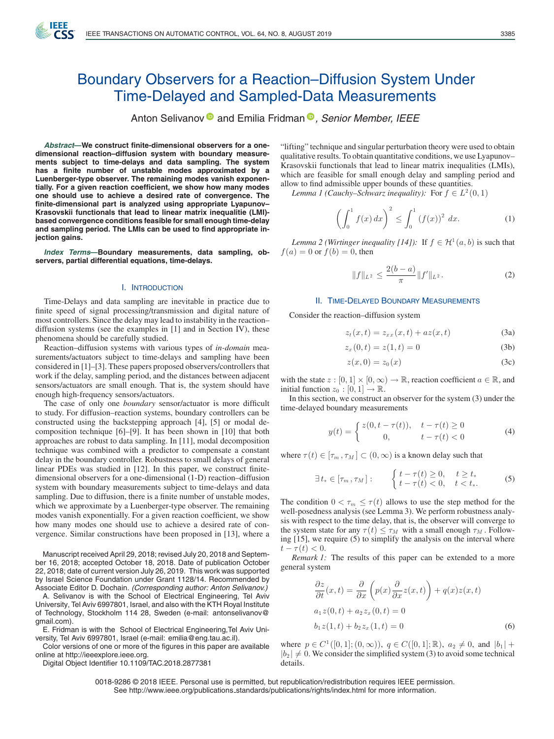

# Boundary Observers for a Reaction–Diffusion System Under Time-Delayed and Sampled-Data Measurements

Anton Selivanov<sup>®</sup> and Emilia Fridman<sup>®</sup>[,](https://orcid.org/0000-0002-8773-9494) Senior Member, IEEE

*Abstract***—We construct finite-dimensional observers for a onedimensional reaction–diffusion system with boundary measurements subject to time-delays and data sampling. The system has a finite number of unstable modes approximated by a Luenberger-type observer. The remaining modes vanish exponentially. For a given reaction coefficient, we show how many modes one should use to achieve a desired rate of convergence. The finite-dimensional part is analyzed using appropriate Lyapunov– Krasovskii functionals that lead to linear matrix inequalitie (LMI) based convergence conditions feasible for small enough time-delay and sampling period. The LMIs can be used to find appropriate injection gains.**

*Index Terms***—Boundary measurements, data sampling, observers, partial differential equations, time-delays.**

#### I. INTRODUCTION

Time-Delays and data sampling are inevitable in practice due to finite speed of signal processing/transmission and digital nature of most controllers. Since the delay may lead to instability in the reaction– diffusion systems (see the examples in [1] and in Section IV), these phenomena should be carefully studied.

Reaction–diffusion systems with various types of *in-domain* measurements/actuators subject to time-delays and sampling have been considered in [1]–[3]. These papers proposed observers/controllers that work if the delay, sampling period, and the distances between adjacent sensors/actuators are small enough. That is, the system should have enough high-frequency sensors/actuators.

The case of only one *boundary* sensor/actuator is more difficult to study. For diffusion–reaction systems, boundary controllers can be constructed using the backstepping approach [4], [5] or modal decomposition technique [6]–[9]. It has been shown in [10] that both approaches are robust to data sampling. In [11], modal decomposition technique was combined with a predictor to compensate a constant delay in the boundary controller. Robustness to small delays of general linear PDEs was studied in [12]. In this paper, we construct finitedimensional observers for a one-dimensional (1-D) reaction–diffusion system with boundary measurements subject to time-delays and data sampling. Due to diffusion, there is a finite number of unstable modes, which we approximate by a Luenberger-type observer. The remaining modes vanish exponentially. For a given reaction coefficient, we show how many modes one should use to achieve a desired rate of convergence. Similar constructions have been proposed in [13], where a

Manuscript received April 29, 2018; revised July 20, 2018 and September 16, 2018; accepted October 18, 2018. Date of publication October 22, 2018; date of current version July 26, 2019. This work was supported by Israel Science Foundation under Grant 1128/14. Recommended by Associate Editor D. Dochain. *(Corresponding author: Anton Selivanov.)*

A. Selivanov is with the School of Electrical Engineering, Tel Aviv University, Tel Aviv 6997801, Israel, and also with the KTH Royal Institute of Technology, Stockholm 114 28, Sweden (e-mail: [antonselivanov@](mailto:antonselivanov@gmail.com) [gmail.com\)](mailto:antonselivanov@gmail.com).

E. Fridman is with the School of Electrical Engineering,Tel Aviv University, Tel Aviv 6997801, Israel (e-mail: emilia@eng.tau.ac.il).

Color versions of one or more of the figures in this paper are available online at http://ieeexplore.ieee.org.

Digital Object Identifier 10.1109/TAC.2018.2877381

"lifting" technique and singular perturbation theory were used to obtain qualitative results. To obtain quantitative conditions, we use Lyapunov– Krasovskii functionals that lead to linear matrix inequalities (LMIs), which are feasible for small enough delay and sampling period and allow to find admissible upper bounds of these quantities.

*Lemma 1 (Cauchy–Schwarz inequality):* For  $f \in L^2(0,1)$ 

$$
\left(\int_0^1 f(x) \, dx\right)^2 \le \int_0^1 \left(f(x)\right)^2 \, dx. \tag{1}
$$

*Lemma 2 (Wirtinger inequality [14]):* If  $f \in H^1(a, b)$  is such that  $f(a)=0$  or  $f(b)=0$ , then

$$
||f||_{L^2} \le \frac{2(b-a)}{\pi} ||f'||_{L^2}.
$$
 (2)

## II. TIME-DELAYED BOUNDARY MEASUREMENTS

Consider the reaction–diffusion system

$$
z_t(x,t) = z_{xx}(x,t) + az(x,t)
$$
 (3a)

$$
z_x(0,t) = z(1,t) = 0
$$
 (3b)

$$
z(x,0) = z_0(x) \tag{3c}
$$

with the state  $z : [0,1] \times [0,\infty) \to \mathbb{R}$ , reaction coefficient  $a \in \mathbb{R}$ , and initial function  $z_0 : [0, 1] \rightarrow \mathbb{R}$ .

In this section, we construct an observer for the system (3) under the time-delayed boundary measurements

$$
y(t) = \begin{cases} z(0, t - \tau(t)), & t - \tau(t) \ge 0 \\ 0, & t - \tau(t) < 0 \end{cases}
$$
(4)

where  $\tau(t) \in [\tau_m, \tau_M] \subset (0, \infty)$  is a known delay such that

$$
\exists t_* \in [\tau_m, \tau_M]: \qquad \begin{cases} t - \tau(t) \ge 0, & t \ge t_* \\ t - \tau(t) < 0, & t < t_*. \end{cases} \tag{5}
$$

The condition  $0 < \tau_m \leq \tau(t)$  allows to use the step method for the well-posedness analysis (see Lemma 3). We perform robustness analysis with respect to the time delay, that is, the observer will converge to the system state for any  $\tau(t) \leq \tau_M$  with a small enough  $\tau_M$ . Following [15], we require (5) to simplify the analysis on the interval where  $t-\tau(t)<0.$ 

*Remark 1:* The results of this paper can be extended to a more general system

$$
\frac{\partial z}{\partial t}(x,t) = \frac{\partial}{\partial x}\left(p(x)\frac{\partial}{\partial x}z(x,t)\right) + q(x)z(x,t)
$$
  
\n
$$
a_1z(0,t) + a_2z_x(0,t) = 0
$$
  
\n
$$
b_1z(1,t) + b_2z_x(1,t) = 0
$$
\n(6)

where  $p \in C^1([0,1];(0,\infty))$ ,  $q \in C([0,1];\mathbb{R})$ ,  $a_2 \neq 0$ , and  $|b_1| +$  $|b_2| \neq 0$ . We consider the simplified system (3) to avoid some technical details.

0018-9286 © 2018 IEEE. Personal use is permitted, but republication/redistribution requires IEEE permission. See http://www.ieee.org/publications standards/publications/rights/index.html for more information.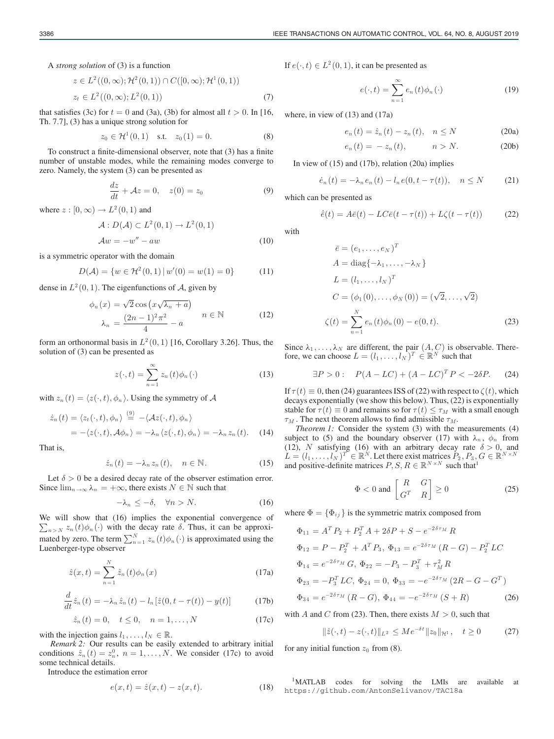A *strong solution* of (3) is a function

$$
z \in L^{2}((0, \infty); \mathcal{H}^{2}(0, 1)) \cap C([0, \infty); \mathcal{H}^{1}(0, 1))
$$
  

$$
z_{t} \in L^{2}((0, \infty); L^{2}(0, 1))
$$
 (7)

that satisfies (3c) for  $t = 0$  and (3a), (3b) for almost all  $t > 0$ . In [16, Th. 7.7], (3) has a unique strong solution for

$$
z_0 \in \mathcal{H}^1(0,1) \quad \text{s.t.} \quad z_0(1) = 0. \tag{8}
$$

To construct a finite-dimensional observer, note that (3) has a finite number of unstable modes, while the remaining modes converge to zero. Namely, the system (3) can be presented as

$$
\frac{dz}{dt} + Az = 0, \quad z(0) = z_0 \tag{9}
$$

where  $z : [0, \infty) \to L^2(0, 1)$  and

$$
\mathcal{A}: D(\mathcal{A}) \subset L^2(0,1) \to L^2(0,1)
$$
  
\n
$$
\mathcal{A}w = -w'' - aw \tag{10}
$$

is a symmetric operator with the domain

$$
D(\mathcal{A}) = \{ w \in \mathcal{H}^2(0,1) \, | \, w'(0) = w(1) = 0 \}
$$
 (11)

dense in  $L^2(0, 1)$ . The eigenfunctions of A, given by

$$
\phi_n(x) = \sqrt{2} \cos \left( x \sqrt{\lambda_n + a} \right)
$$
  

$$
\lambda_n = \frac{(2n-1)^2 \pi^2}{4} - a \qquad n \in \mathbb{N}
$$
 (12)

form an orthonormal basis in  $L^2(0, 1)$  [16, Corollary 3.26]. Thus, the solution of (3) can be presented as

$$
z(\cdot, t) = \sum_{n=1}^{\infty} z_n(t) \phi_n(\cdot)
$$
 (13)

with  $z_n(t) = \langle z(\cdot, t), \phi_n \rangle$ . Using the symmetry of A

$$
\begin{aligned} \dot{z}_n(t) &= \langle z_t(\cdot, t), \phi_n \rangle \stackrel{(9)}{=} -\langle \mathcal{A}z(\cdot, t), \phi_n \rangle \\ &= -\langle z(\cdot, t), \mathcal{A}\phi_n \rangle = -\lambda_n \langle z(\cdot, t), \phi_n \rangle = -\lambda_n \, z_n(t). \end{aligned} \tag{14}
$$

That is,

$$
\dot{z}_n(t) = -\lambda_n z_n(t), \quad n \in \mathbb{N}.
$$
 (15)

Let  $\delta > 0$  be a desired decay rate of the observer estimation error. Since  $\lim_{n\to\infty}\lambda_n = +\infty$ , there exists  $N \in \mathbb{N}$  such that

$$
-\lambda_n \le -\delta, \quad \forall n > N. \tag{16}
$$

We will show that (16) implies the exponential convergence of  $\sum_{n>N} z_n(t) \phi_n(\cdot)$  with the decay rate  $\delta$ . Thus, it can be approximated by zero. The term  $\sum_{n=1}^{N} z_n(t) \phi_n(\cdot)$  is approximated using the Luenberger-type observer

$$
\hat{z}(x,t) = \sum_{n=1}^{N} \hat{z}_n(t)\phi_n(x)
$$
\n(17a)

$$
\frac{d}{dt}\hat{z}_n(t) = -\lambda_n \hat{z}_n(t) - l_n[\hat{z}(0, t - \tau(t)) - y(t)] \tag{17b}
$$

$$
\hat{z}_n(t) = 0, \quad t \le 0, \quad n = 1, ..., N
$$
 (17c)

with the injection gains  $l_1, \ldots, l_N \in \mathbb{R}$ .

*Remark 2:* Our results can be easily extended to arbitrary initial conditions  $\hat{z}_n(t) = z_n^0$ ,  $n = 1, ..., N$ . We consider (17c) to avoid some technical details.

Introduce the estimation error

$$
e(x,t) = \hat{z}(x,t) - z(x,t).
$$
 (18)

If  $e(\cdot, t) \in L^2(0, 1)$ , it can be presented as

$$
e(\cdot,t) = \sum_{n=1}^{\infty} e_n(t)\phi_n(\cdot)
$$
 (19)

where, in view of (13) and (17a)

$$
e_n(t) = \hat{z}_n(t) - z_n(t), \quad n \le N
$$
 (20a)

$$
e_n(t) = -z_n(t), \qquad n > N. \tag{20b}
$$

In view of (15) and (17b), relation (20a) implies

$$
\dot{e}_n(t) = -\lambda_n e_n(t) - l_n e(0, t - \tau(t)), \quad n \le N \tag{21}
$$

which can be presented as

$$
\dot{\bar{e}}(t) = A\bar{e}(t) - LC\bar{e}(t - \tau(t)) + L\zeta(t - \tau(t))
$$
 (22)

with

$$
\bar{e} = (e_1, ..., e_N)^T \nA = diag\{-\lambda_1, ..., -\lambda_N\} \nL = (l_1, ..., l_N)^T \nC = (\phi_1(0), ..., \phi_N(0)) = (\sqrt{2}, ..., \sqrt{2}) \n\zeta(t) = \sum_{n=1}^N e_n(t)\phi_n(0) - e(0, t).
$$
\n(23)

Since  $\lambda_1, \ldots, \lambda_N$  are different, the pair  $(A, C)$  is observable. Therefore, we can choose  $L = (l_1, \ldots, l_N)^T \in \mathbb{R}^N$  such that

$$
\exists P > 0: \quad P(A - LC) + (A - LC)^T P < -2\delta P. \tag{24}
$$

If  $\tau(t) \equiv 0$ , then (24) guarantees ISS of (22) with respect to  $\zeta(t)$ , which decays exponentially (we show this below). Thus, (22) is exponentially stable for  $\tau(t) \equiv 0$  and remains so for  $\tau(t) \leq \tau_M$  with a small enough  $\tau_M$ . The next theorem allows to find admissible  $\tau_M$ .

*Theorem 1:* Consider the system (3) with the measurements (4) subject to (5) and the boundary observer (17) with  $\lambda_n$ ,  $\phi_n$  from (12), N satisfying (16) with an arbitrary decay rate  $\delta > 0$ , and  $L = (l_1, \ldots, l_N)^T \in \mathbb{R}^N$ . Let there exist matrices  $P_2, P_3, G \in \mathbb{R}^{N \times N}$ and positive-definite matrices  $P, S, R \in \mathbb{R}^{N \times N}$  such that<sup>1</sup>

$$
\Phi < 0 \text{ and } \begin{bmatrix} R & G \\ G^T & R \end{bmatrix} \ge 0 \tag{25}
$$

where  $\Phi = {\Phi_{ij}}$  is the symmetric matrix composed from

$$
\Phi_{11} = A^T P_2 + P_2^T A + 2\delta P + S - e^{-2\delta \tau_M} R
$$
  
\n
$$
\Phi_{12} = P - P_2^T + A^T P_3, \ \Phi_{13} = e^{-2\delta \tau_M} (R - G) - P_2^T LC
$$
  
\n
$$
\Phi_{14} = e^{-2\delta \tau_M} G, \ \Phi_{22} = -P_3 - P_3^T + \tau_M^2 R
$$
  
\n
$$
\Phi_{23} = -P_3^T LC, \ \Phi_{24} = 0, \ \Phi_{33} = -e^{-2\delta \tau_M} (2R - G - G^T)
$$
  
\n
$$
\Phi_{34} = e^{-2\delta \tau_M} (R - G), \ \Phi_{44} = -e^{-2\delta \tau_M} (S + R)
$$
\n(26)

with A and C from (23). Then, there exists  $M > 0$ , such that

$$
\|\hat{z}(\cdot,t) - z(\cdot,t)\|_{L^2} \le Me^{-\delta t} \|z_0\|_{\mathcal{H}^1}, \quad t \ge 0 \tag{27}
$$

for any initial function  $z_0$  from (8).

1MATLAB codes for solving the LMIs are available at https://github.com/AntonSelivanov/TAC18a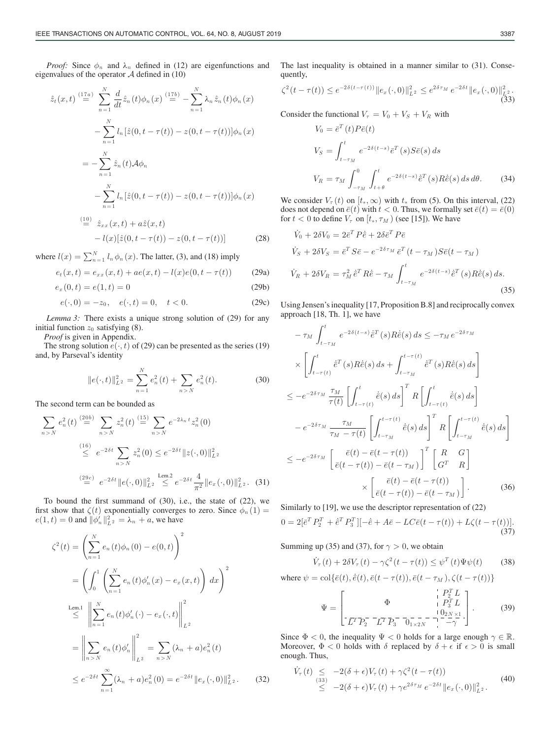*Proof:* Since  $\phi_n$  and  $\lambda_n$  defined in (12) are eigenfunctions and eigenvalues of the operator  $A$  defined in (10)

$$
\hat{z}_t(x,t) \stackrel{(17a)}{=} \sum_{n=1}^N \frac{d}{dt} \hat{z}_n(t) \phi_n(x) \stackrel{(17b)}{=} -\sum_{n=1}^N \lambda_n \hat{z}_n(t) \phi_n(x)
$$

$$
- \sum_{n=1}^N l_n [\hat{z}(0, t - \tau(t)) - z(0, t - \tau(t))] \phi_n(x)
$$

$$
= - \sum_{n=1}^N \hat{z}_n(t) \mathcal{A} \phi_n
$$

$$
- \sum_{n=1}^N l_n [\hat{z}(0, t - \tau(t)) - z(0, t - \tau(t))] \phi_n(x)
$$

$$
\stackrel{(10)}{=} \hat{z}_{xx}(x, t) + a\hat{z}(x, t)
$$

$$
-l(x)[\hat{z}(0, t - \tau(t)) - z(0, t - \tau(t))]
$$
(28)

where 
$$
l(x) = \sum_{n=1}^{N} l_n \phi_n(x)
$$
. The latter, (3), and (18) imply

$$
e_t(x,t) = e_{xx}(x,t) + ae(x,t) - l(x)e(0,t - \tau(t))
$$
 (29a)

$$
e_x(0,t) = e(1,t) = 0
$$
\n(29b)

$$
e(\cdot,0) = -z_0, \quad e(\cdot,t) = 0, \quad t < 0.
$$
 (29c)

*Lemma 3:* There exists a unique strong solution of (29) for any initial function  $z_0$  satisfying (8).

*Proof* is given in Appendix.

The strong solution  $e(\cdot, t)$  of (29) can be presented as the series (19) and, by Parseval's identity

$$
||e(\cdot,t)||_{L^2}^2 = \sum_{n=1}^N e_n^2(t) + \sum_{n>N} e_n^2(t).
$$
 (30)

The second term can be bounded as

$$
\sum_{n>N} e_n^2(t) \stackrel{(20b)}{=} \sum_{n>N} z_n^2(t) \stackrel{(15)}{=} \sum_{n>N} e^{-2\lambda_n t} z_n^2(0)
$$
  

$$
\stackrel{(16)}{\leq} e^{-2\delta t} \sum_{n>N} z_n^2(0) \leq e^{-2\delta t} ||z(\cdot, 0)||_{L^2}^2
$$
  

$$
\stackrel{(29c)}{=} e^{-2\delta t} ||e(\cdot, 0)||_{L^2}^2 \leq e^{-2\delta t} \frac{4}{\pi^2} ||e_x(\cdot, 0)||_{L^2}^2. (31)
$$

To bound the first summand of (30), i.e., the state of (22), we first show that  $\zeta(t)$  exponentially converges to zero. Since  $\phi_n(1)$  =  $e(1,t) = 0$  and  $\|\phi'_n\|_{L^2}^2 = \lambda_n + a$ , we have

$$
\zeta^{2}(t) = \left(\sum_{n=1}^{N} e_{n}(t)\phi_{n}(0) - e(0, t)\right)^{2}
$$
  
\n
$$
= \left(\int_{0}^{1} \left(\sum_{n=1}^{N} e_{n}(t)\phi_{n}'(x) - e_{x}(x, t)\right) dx\right)^{2}
$$
  
\n
$$
\leq \left\|\sum_{n=1}^{N} e_{n}(t)\phi_{n}'(\cdot) - e_{x}(\cdot, t)\right\|_{L^{2}}^{2}
$$
  
\n
$$
= \left\|\sum_{n>N} e_{n}(t)\phi_{n}'\right\|_{L^{2}}^{2} = \sum_{n>N} (\lambda_{n} + a)e_{n}^{2}(t)
$$
  
\n
$$
\leq e^{-2\delta t} \sum_{n=1}^{\infty} (\lambda_{n} + a)e_{n}^{2}(0) = e^{-2\delta t} \|e_{x}(\cdot, 0)\|_{L^{2}}^{2}.
$$
 (32)

The last inequality is obtained in a manner similar to (31). Consequently,

$$
\zeta^{2}(t-\tau(t)) \leq e^{-2\delta(t-\tau(t))} \|e_{x}(\cdot,0)\|_{L^{2}}^{2} \leq e^{2\delta\tau_{M}} e^{-2\delta t} \|e_{x}(\cdot,0)\|_{L^{2}}^{2}.
$$
\n(33)

Consider the functional  $V_\tau = V_0 + V_S + V_R$  with

$$
V_0 = \bar{e}^T(t)P\bar{e}(t)
$$
  
\n
$$
V_S = \int_{t-\tau_M}^t e^{-2\delta(t-s)}\bar{e}^T(s)S\bar{e}(s) ds
$$
  
\n
$$
V_R = \tau_M \int_{-\tau_M}^0 \int_{t+\theta}^t e^{-2\delta(t-s)}\dot{e}^T(s)R\dot{e}(s) ds d\theta.
$$
 (34)

We consider  $V_\tau(t)$  on  $[t_*,\infty)$  with  $t_*$  from (5). On this interval, (22) does not depend on  $\bar{e}(t)$  with  $t < 0$ . Thus, we formally set  $\bar{e}(t) = \bar{e}(0)$ for  $t < 0$  to define  $V_{\tau}$  on  $[t_*, \tau_M)$  (see [15]). We have

$$
\dot{V}_0 + 2\delta V_0 = 2\bar{e}^T P \dot{\bar{e}} + 2\delta \bar{e}^T P \bar{e}
$$
\n
$$
\dot{V}_S + 2\delta V_S = \bar{e}^T S \bar{e} - e^{-2\delta\tau_M} \bar{e}^T (t - \tau_M) S \bar{e} (t - \tau_M)
$$
\n
$$
\dot{V}_R + 2\delta V_R = \tau_M^2 \bar{e}^T R \dot{\bar{e}} - \tau_M \int_{t - \tau_M}^t e^{-2\delta(t - s)} \bar{e}^T (s) R \dot{\bar{e}} (s) ds.
$$
\n(35)

Using Jensen's inequality [17, Proposition B.8] and reciprocally convex approach [18, Th. 1], we have

$$
-\tau_M \int_{t-\tau_M}^t e^{-2\delta(t-s)} \dot{e}^T(s) R\dot{e}(s) ds \le -\tau_M e^{-2\delta\tau_M}
$$
  
\n
$$
\times \left[ \int_{t-\tau(t)}^t \dot{e}^T(s) R\dot{e}(s) ds + \int_{t-\tau_M}^{t-\tau(t)} \dot{e}^T(s) R\dot{e}(s) ds \right]
$$
  
\n
$$
\le -e^{-2\delta\tau_M} \frac{\tau_M}{\tau(t)} \left[ \int_{t-\tau(t)}^t \dot{e}(s) ds \right]^T R \left[ \int_{t-\tau(t)}^t \dot{e}(s) ds \right]
$$
  
\n
$$
-e^{-2\delta\tau_M} \frac{\tau_M}{\tau_M - \tau(t)} \left[ \int_{t-\tau_M}^{t-\tau(t)} \dot{e}(s) ds \right]^T R \left[ \int_{t-\tau_M}^{t-\tau(t)} \dot{e}(s) ds \right]
$$
  
\n
$$
\le -e^{-2\delta\tau_M} \left[ \frac{\bar{e}(t) - \bar{e}(t-\tau(t))}{\bar{e}(t-\tau(t)) - \bar{e}(t-\tau_M)} \right]^T \left[ \begin{array}{cc} R & G \\ G^T & R \end{array} \right]
$$
  
\n
$$
\times \left[ \frac{\bar{e}(t) - \bar{e}(t-\tau(t))}{\bar{e}(t-\tau(t))} \right] \cdot \frac{\bar{e}(t) - \bar{e}(t-\tau_M)}{(\bar{e}(t-\tau(t)) - \bar{e}(t-\tau_M)}.
$$
 (36)

Similarly to [19], we use the descriptor representation of (22)

$$
0 = 2[\bar{e}^T P_2^T + \dot{\bar{e}}^T P_3^T] [-\dot{\bar{e}} + A\bar{e} - LC\bar{e}(t - \tau(t)) + L\zeta(t - \tau(t))].
$$
\n(37)

Summing up (35) and (37), for  $\gamma > 0$ , we obtain

$$
\dot{V}_{\tau}(t) + 2\delta V_{\tau}(t) - \gamma \zeta^{2}(t - \tau(t)) \leq \psi^{T}(t)\Psi\psi(t)
$$
 (38)

where 
$$
\psi = \text{col}\{\bar{e}(t), \dot{\bar{e}}(t), \bar{e}(t - \tau(t)), \bar{e}(t - \tau_M), \zeta(t - \tau(t))\}
$$

$$
\Psi = \begin{bmatrix} \Phi & P_1^T L \\ \frac{1}{L^T P_2} - \frac{1}{L^T P_3} - \frac{1}{0} \frac{1}{1} \frac{1}{2N} \frac{1}{N} \end{bmatrix} .
$$
 (39)

Since  $\Phi < 0$ , the inequality  $\Psi < 0$  holds for a large enough  $\gamma \in \mathbb{R}$ . Moreover,  $\Phi < 0$  holds with  $\delta$  replaced by  $\delta + \epsilon$  if  $\epsilon > 0$  is small enough. Thus,

$$
\dot{V}_{\tau}(t) \leq -2(\delta + \epsilon)V_{\tau}(t) + \gamma \zeta^{2} (t - \tau(t)) \n\leq -2(\delta + \epsilon)V_{\tau}(t) + \gamma e^{2\delta\tau_{M}} e^{-2\delta t} \|e_{x}(\cdot, 0)\|_{L^{2}}^{2}.
$$
\n(40)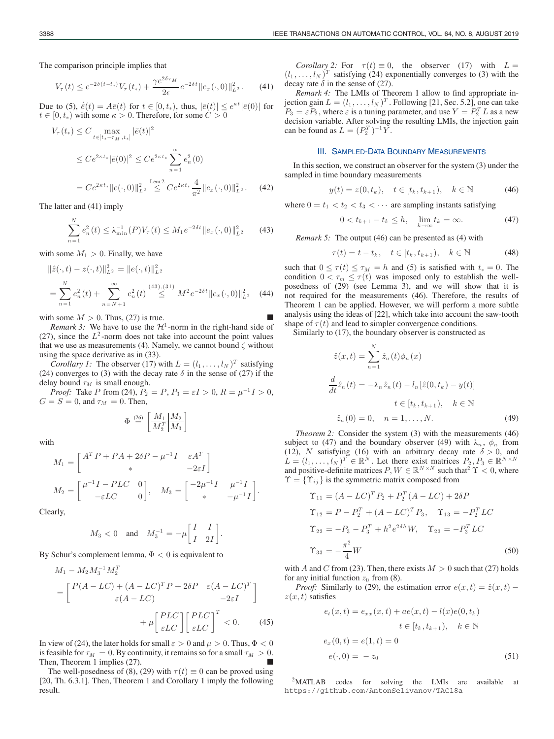The comparison principle implies that

$$
V_{\tau}(t) \le e^{-2\delta(t-t_*)} V_{\tau}(t_*) + \frac{\gamma e^{2\delta\tau_M}}{2\epsilon} e^{-2\delta t} \|e_x(\cdot,0)\|_{L^2}^2. \tag{41}
$$

Due to (5),  $\dot{\bar{e}}(t) = A\bar{e}(t)$  for  $t \in [0, t_*)$ , thus,  $|\bar{e}(t)| \leq e^{\kappa t} |\bar{e}(0)|$  for  $t \in [0, t_*)$  with some  $\kappa > 0$ . Therefore, for some  $C > 0$ 

$$
V_{\tau}(t_{*}) \leq C \max_{t \in [t_{*} - \tau_{M}, t_{*}]} |\bar{e}(t)|^{2}
$$
  
\n
$$
\leq C e^{2\kappa t_{*}} |\bar{e}(0)|^{2} \leq C e^{2\kappa t_{*}} \sum_{n=1}^{\infty} e_{n}^{2}(0)
$$
  
\n
$$
= C e^{2\kappa t_{*}} ||e(\cdot, 0)||_{L^{2}}^{2} \leq C e^{2\kappa t_{*}} \frac{4}{\pi^{2}} ||e_{x}(\cdot, 0)||_{L^{2}}^{2}.
$$
 (42)

The latter and (41) imply

$$
\sum_{n=1}^{N} e_n^2(t) \le \lambda_{\min}^{-1}(P)V_\tau(t) \le M_1 e^{-2\delta t} ||e_x(\cdot, 0)||_{L^2}^2 \qquad (43)
$$

with some  $M_1 > 0$ . Finally, we have

$$
\begin{aligned} \|\hat{z}(\cdot,t) - z(\cdot,t)\|_{L^2}^2 &= \|e(\cdot,t)\|_{L^2}^2 \\ &= \sum_{n=1}^N e_n^2(t) + \sum_{n=N+1}^\infty e_n^2(t) \stackrel{(43),(31)}{\leq} M^2 e^{-2\delta t} \|e_x(\cdot,0)\|_{L^2}^2 \end{aligned} \tag{44}
$$

with some  $M > 0$ . Thus, (27) is true.

*Remark 3:* We have to use the  $H^1$ -norm in the right-hand side of (27), since the  $L^2$ -norm does not take into account the point values that we use as measurements (4). Namely, we cannot bound  $\zeta$  without using the space derivative as in (33).

*Corollary 1:* The observer (17) with  $L = (l_1, \ldots, l_N)^T$  satisfying (24) converges to (3) with the decay rate  $\delta$  in the sense of (27) if the delay bound  $\tau_M$  is small enough.

*Proof:* Take P from (24),  $P_2 = P$ ,  $P_3 = \varepsilon I > 0$ ,  $R = \mu^{-1} I > 0$ ,  $G = S = 0$ , and  $\tau_M = 0$ . Then,

$$
\Phi \stackrel{\text{\tiny (26)}}{=} \left[ \frac{M_1 \mid M_2}{M_2^T \mid M_3} \right]
$$

with

$$
M_1 = \begin{bmatrix} A^T P + P A + 2\delta P - \mu^{-1} I & \varepsilon A^T \\ * & -2\varepsilon I \end{bmatrix}
$$
  

$$
M_2 = \begin{bmatrix} \mu^{-1} I - P L C & 0 \\ -\varepsilon L C & 0 \end{bmatrix}, \quad M_3 = \begin{bmatrix} -2\mu^{-1} I & \mu^{-1} I \\ * & -\mu^{-1} I \end{bmatrix}.
$$

Clearly,

$$
M_3<0\quad\text{and}\quad M_3^{-1}=-\mu\bigg[\begin{matrix}I&I\\I&2I\end{matrix}\bigg].
$$

By Schur's complement lemma,  $\Phi < 0$  is equivalent to

$$
M_1 - M_2 M_3^{-1} M_2^T
$$
  
= 
$$
\begin{bmatrix} P(A - LC) + (A - LC)^T P + 2\delta P & \varepsilon (A - LC)^T \\ \varepsilon (A - LC) & -2\varepsilon I \end{bmatrix}
$$
  
+ 
$$
\mu \begin{bmatrix} PLC \\ \varepsilon LC \end{bmatrix} \begin{bmatrix} PLC \\ \varepsilon LC \end{bmatrix}^T < 0.
$$
 (45)

In view of (24), the later holds for small  $\varepsilon > 0$  and  $\mu > 0$ . Thus,  $\Phi < 0$ is feasible for  $\tau_M = 0$ . By continuity, it remains so for a small  $\tau_M > 0$ . Then, Theorem 1 implies (27).

The well-posedness of (8), (29) with  $\tau(t) \equiv 0$  can be proved using [20, Th. 6.3.1]. Then, Theorem 1 and Corollary 1 imply the following result.

*Corollary 2:* For  $\tau(t) \equiv 0$ , the observer (17) with  $L =$  $(l_1, \ldots, l_N )^T$  satisfying (24) exponentially converges to (3) with the decay rate  $\delta$  in the sense of (27).

*Remark 4:* The LMIs of Theorem 1 allow to find appropriate injection gain  $L = (l_1, \ldots, l_N)^T$ . Following [21, Sec. 5.2], one can take  $P_3 = \varepsilon P_2$ , where  $\varepsilon$  is a tuning parameter, and use  $Y = P_2^T L$  as a new decision variable. After solving the resulting LMIs, the injection gain can be found as  $L = (P_2^T)^{-1} Y$ .

## III. SAMPLED-DATA BOUNDARY MEASUREMENTS

In this section, we construct an observer for the system (3) under the sampled in time boundary measurements

$$
y(t) = z(0, t_k), \quad t \in [t_k, t_{k+1}), \quad k \in \mathbb{N}
$$
 (46)

where  $0 = t_1 < t_2 < t_3 < \cdots$  are sampling instants satisfying

$$
0 < t_{k+1} - t_k \le h, \quad \lim_{k \to \infty} t_k = \infty. \tag{47}
$$

*Remark 5:* The output (46) can be presented as (4) with

$$
\tau(t) = t - t_k, \quad t \in [t_k, t_{k+1}), \quad k \in \mathbb{N} \tag{48}
$$

such that  $0 \le \tau(t) \le \tau_M = h$  and (5) is satisfied with  $t_* = 0$ . The condition  $0 < \tau_m \leq \tau(t)$  was imposed only to establish the wellposedness of (29) (see Lemma 3), and we will show that it is not required for the measurements (46). Therefore, the results of Theorem 1 can be applied. However, we will perform a more subtle analysis using the ideas of [22], which take into account the saw-tooth shape of  $\tau(t)$  and lead to simpler convergence conditions.

Similarly to (17), the boundary observer is constructed as

$$
\hat{z}(x,t) = \sum_{n=1}^{N} \hat{z}_n(t)\phi_n(x)
$$

$$
\frac{d}{dt}\hat{z}_n(t) = -\lambda_n \hat{z}_n(t) - l_n[\hat{z}(0,t_k) - y(t)]
$$

$$
t \in [t_k, t_{k+1}), \quad k \in \mathbb{N}
$$

$$
\hat{z}_n(0) = 0, \quad n = 1, \dots, N.
$$
 (49)

*Theorem 2:* Consider the system (3) with the measurements (46) subject to (47) and the boundary observer (49) with  $\lambda_n$ ,  $\phi_n$  from (12), N satisfying (16) with an arbitrary decay rate  $\delta > 0$ , and  $L = (l_1, \ldots, l_N)^T \in \mathbb{R}^N$ . Let there exist matrices  $P_2, P_3 \in \mathbb{R}^{N \times N}$ and positive-definite matrices  $P, W \in \mathbb{R}^{N \times N}$  such that  $2 \Upsilon < 0$ , where  $\Upsilon = \{\Upsilon_{ij}\}\$ is the symmetric matrix composed from

$$
\Upsilon_{11} = (A - LC)^T P_2 + P_2^T (A - LC) + 2\delta P
$$
  
\n
$$
\Upsilon_{12} = P - P_2^T + (A - LC)^T P_3, \quad \Upsilon_{13} = -P_2^T LC
$$
  
\n
$$
\Upsilon_{22} = -P_3 - P_3^T + h^2 e^{2\delta h} W, \quad \Upsilon_{23} = -P_3^T LC
$$
  
\n
$$
\Upsilon_{33} = -\frac{\pi^2}{4} W
$$
\n(50)

with A and C from (23). Then, there exists  $M > 0$  such that (27) holds for any initial function  $z_0$  from (8).

*Proof:* Similarly to (29), the estimation error  $e(x, t) = \hat{z}(x, t)$  –  $z(x, t)$  satisfies

$$
e_t(x,t) = e_{xx}(x,t) + ae(x,t) - l(x)e(0,t_k)
$$
  

$$
t \in [t_k, t_{k+1}), \quad k \in \mathbb{N}
$$
  

$$
e_x(0,t) = e(1,t) = 0
$$
  

$$
e(\cdot, 0) = -z_0
$$
 (51)

2MATLAB codes for solving the LMIs are available at https://github.com/AntonSelivanov/TAC18a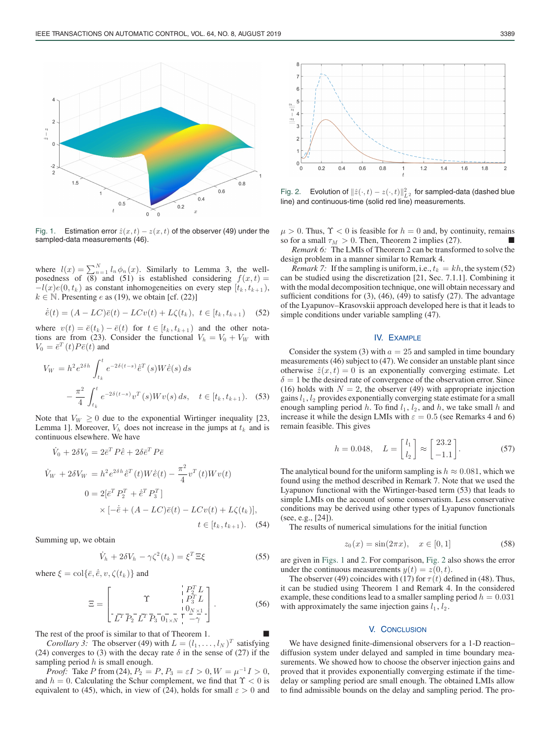

Fig. 1. Estimation error  $\hat{z}(x,t) - z(x,t)$  of the observer (49) under the sampled-data measurements (46).

where  $l(x) = \sum_{n=1}^{N} l_n \phi_n(x)$ . Similarly to Lemma 3, the wellposedness of  $\overline{(8)}$  and  $\overline{(51)}$  is established considering  $f(x, t) =$  $-l(x)e(0, t_k)$  as constant inhomogeneities on every step  $[t_k, t_{k+1})$ ,  $k \in \mathbb{N}$ . Presenting *e* as (19), we obtain [cf. (22)]

$$
\dot{\bar{e}}(t) = (A - LC)\bar{e}(t) - LCv(t) + L\zeta(t_k), \ t \in [t_k, t_{k+1}) \quad (52)
$$

where  $v(t)=\bar{e}(t_k) - \bar{e}(t)$  for  $t \in [t_k, t_{k+1} ]$  and the other notations are from (23). Consider the functional  $V_h = V_0 + V_W$  with  $V_0 = \bar{e}^T(t)P\bar{e}(t)$  and

$$
V_W = h^2 e^{2\delta h} \int_{t_k}^t e^{-2\delta(t-s)} \dot{e}^T(s) W \dot{e}(s) ds
$$
  

$$
- \frac{\pi^2}{4} \int_{t_k}^t e^{-2\delta(t-s)} v^T(s) W v(s) ds, \quad t \in [t_k, t_{k+1}). \quad (53)
$$

Note that  $V_W \geq 0$  due to the exponential Wirtinger inequality [23, Lemma 1]. Moreover,  $V_h$  does not increase in the jumps at  $t_k$  and is continuous elsewhere. We have

$$
\dot{V}_0 + 2\delta V_0 = 2\bar{e}^T P \dot{\bar{e}} + 2\delta \bar{e}^T P \bar{e}
$$
\n
$$
\dot{V}_W + 2\delta V_W = h^2 e^{2\delta h} \dot{\bar{e}}^T(t) W \dot{\bar{e}}(t) - \frac{\pi^2}{4} v^T(t) W v(t)
$$
\n
$$
0 = 2[\bar{e}^T P_2^T + \dot{\bar{e}}^T P_3^T]
$$
\n
$$
\times [-\dot{\bar{e}} + (A - LC)\bar{e}(t) - LCv(t) + L\zeta(t_k)],
$$
\n
$$
t \in [t_k, t_{k+1}).
$$
\n(54)

Summing up, we obtain

$$
\dot{V}_h + 2\delta V_h - \gamma \zeta^2(t_k) = \xi^T \Xi \xi \tag{55}
$$

where  $\xi = \text{col}\{\bar{e}, \dot{\bar{e}}, v, \zeta(t_k)\}\$  and

$$
\Xi = \begin{bmatrix} \Upsilon & \frac{1}{1} P_2^T L \\ \Upsilon^T \overline{P_2}^T L^T \overline{P_3} \overline{0}^{-\frac{1}{1} - \frac{1}{1} \left( \frac{0}{N} \times 1 \right)} \\ \Upsilon^T \overline{P_2}^T L^T \overline{P_3} \overline{0}^{-\frac{1}{N} - \frac{1}{N} \left( \frac{0}{N} \times 1 \right)} \end{bmatrix} . \tag{56}
$$

The rest of the proof is similar to that of Theorem 1.

*Corollary 3:* The observer (49) with  $L = (l_1, \ldots, l_N)^T$  satisfying (24) converges to (3) with the decay rate  $\delta$  in the sense of (27) if the sampling period  $h$  is small enough.

*Proof:* Take P from (24),  $P_2 = P$ ,  $P_3 = \varepsilon I > 0$ ,  $W = \mu^{-1} I > 0$ , and  $h = 0$ . Calculating the Schur complement, we find that  $\Upsilon < 0$  is equivalent to (45), which, in view of (24), holds for small  $\varepsilon > 0$  and



Fig. 2. Evolution of  $\|\hat{z}(\cdot,t)-z(\cdot,t)\|_{L^2}^2$  for sampled-data (dashed blue line) and continuous-time (solid red line) measurements.

 $\mu > 0$ . Thus,  $\Upsilon < 0$  is feasible for  $h = 0$  and, by continuity, remains so for a small  $\tau_M > 0$ . Then, Theorem 2 implies (27).

*Remark 6:* The LMIs of Theorem 2 can be transformed to solve the design problem in a manner similar to Remark 4.

*Remark 7:* If the sampling is uniform, i.e.,  $t_k = kh$ , the system (52) can be studied using the discretization [21, Sec. 7.1.1]. Combining it with the modal decomposition technique, one will obtain necessary and sufficient conditions for (3), (46), (49) to satisfy (27). The advantage of the Lyapunov–Krasovskii approach developed here is that it leads to simple conditions under variable sampling (47).

## IV. EXAMPLE

Consider the system (3) with  $a = 25$  and sampled in time boundary measurements (46) subject to (47). We consider an unstable plant since otherwise  $\hat{z}(x,t)=0$  is an exponentially converging estimate. Let  $\delta = 1$  be the desired rate of convergence of the observation error. Since (16) holds with  $N = 2$ , the observer (49) with appropriate injection gains  $l_1$ ,  $l_2$  provides exponentially converging state estimate for a small enough sampling period h. To find  $l_1$ ,  $l_2$ , and h, we take small h and increase it while the design LMIs with  $\varepsilon = 0.5$  (see Remarks 4 and 6) remain feasible. This gives

$$
h = 0.048, \quad L = \begin{bmatrix} l_1 \\ l_2 \end{bmatrix} \approx \begin{bmatrix} 23.2 \\ -1.1 \end{bmatrix}.
$$
 (57)

The analytical bound for the uniform sampling is  $h \approx 0.081$ , which we found using the method described in Remark 7. Note that we used the Lyapunov functional with the Wirtinger-based term (53) that leads to simple LMIs on the account of some conservatism. Less conservative conditions may be derived using other types of Lyapunov functionals (see, e.g., [24]).

The results of numerical simulations for the initial function

$$
z_0(x) = \sin(2\pi x), \quad x \in [0, 1]
$$
 (58)

are given in Figs. 1 and 2. For comparison, Fig. 2 also shows the error under the continuous measurements  $y(t) = z(0, t)$ .

The observer (49) coincides with (17) for  $\tau(t)$  defined in (48). Thus, it can be studied using Theorem 1 and Remark 4. In the considered example, these conditions lead to a smaller sampling period  $h = 0.031$ with approximately the same injection gains  $l_1$ ,  $l_2$ .

### V. CONCLUSION

We have designed finite-dimensional observers for a 1-D reaction– diffusion system under delayed and sampled in time boundary measurements. We showed how to choose the observer injection gains and proved that it provides exponentially converging estimate if the timedelay or sampling period are small enough. The obtained LMIs allow to find admissible bounds on the delay and sampling period. The pro-